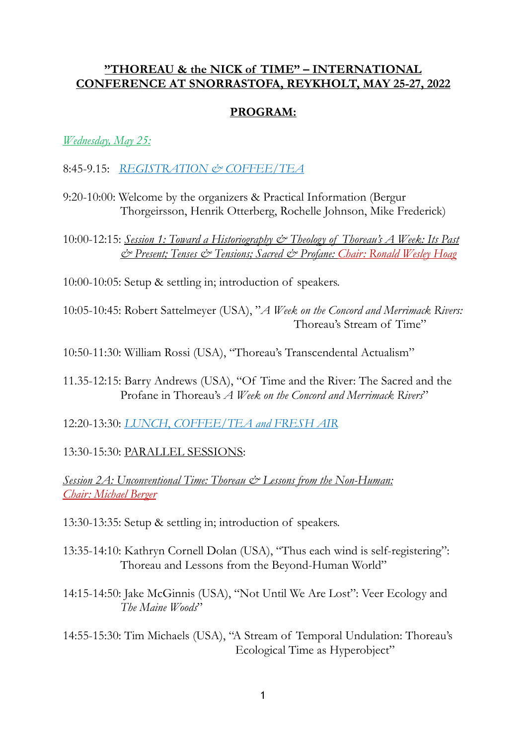#### **"THOREAU & the NICK of TIME" – INTERNATIONAL CONFERENCE AT SNORRASTOFA, REYKHOLT, MAY 25-27, 2022**

## **PROGRAM:**

### *Wednesday, May 25:*

- 8:45-9.15: *REGISTRATION & COFFEE/TEA*
- 9:20-10:00: Welcome by the organizers & Practical Information (Bergur Thorgeirsson, Henrik Otterberg, Rochelle Johnson, Mike Frederick)

10:00-12:15: *Session 1: Toward a Historiography & Theology of Thoreau's A Week: Its Past & Present; Tenses & Tensions; Sacred & Profane: Chair: Ronald Wesley Hoag*

10:00-10:05: Setup & settling in; introduction of speakers.

10:05-10:45: Robert Sattelmeyer (USA), "*A Week on the Concord and Merrimack Rivers:*  Thoreau's Stream of Time"

10:50-11:30: William Rossi (USA), "Thoreau's Transcendental Actualism"

- 11.35-12:15: Barry Andrews (USA), "Of Time and the River: The Sacred and the Profane in Thoreau's *A Week on the Concord and Merrimack Rivers*"
- 12:20-13:30: *LUNCH*, *COFFEE/TEA and FRESH AIR*

## 13:30-15:30: PARALLEL SESSIONS:

*Session 2A: Unconventional Time: Thoreau & Lessons from the Non-Human: Chair: Michael Berger*

13:30-13:35: Setup & settling in; introduction of speakers.

- 13:35-14:10: Kathryn Cornell Dolan (USA), "Thus each wind is self-registering": Thoreau and Lessons from the Beyond-Human World"
- 14:15-14:50: Jake McGinnis (USA), "Not Until We Are Lost": Veer Ecology and *The Maine Woods*"
- 14:55-15:30: Tim Michaels (USA), "A Stream of Temporal Undulation: Thoreau's Ecological Time as Hyperobject"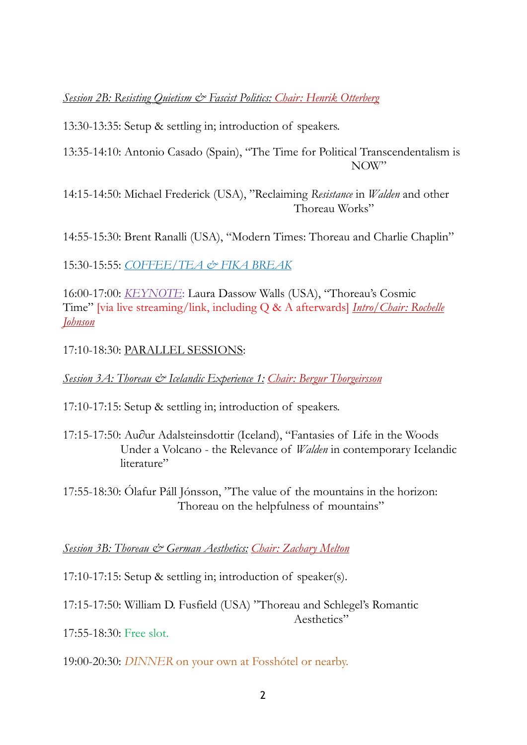# *Session 2B: Resisting Quietism & Fascist Politics: Chair: Henrik Otterberg*

13:30-13:35: Setup & settling in; introduction of speakers.

13:35-14:10: Antonio Casado (Spain), "The Time for Political Transcendentalism is NOW"

14:15-14:50: Michael Frederick (USA), "Reclaiming *Resistance* in *Walden* and other Thoreau Works"

14:55-15:30: Brent Ranalli (USA), "Modern Times: Thoreau and Charlie Chaplin"

15:30-15:55: *COFFEE/TEA & FIKA BREAK*

16:00-17:00: *KEYNOTE*: Laura Dassow Walls (USA), "Thoreau's Cosmic Time" [via live streaming/link, including Q & A afterwards] *Intro/Chair: Rochelle Johnson*

17:10-18:30: PARALLEL SESSIONS:

*Session 3A: Thoreau & Icelandic Experience 1: Chair: Bergur Thorgeirsson*

17:10-17:15: Setup & settling in; introduction of speakers.

17:15-17:50: Au∂ur Adalsteinsdottir (Iceland), "Fantasies of Life in the Woods Under a Volcano - the Relevance of *Walden* in contemporary Icelandic literature"

17:55-18:30: Ólafur Páll Jónsson, "The value of the mountains in the horizon: Thoreau on the helpfulness of mountains"

*Session 3B: Thoreau & German Aesthetics: Chair: Zachary Melton* 

17:10-17:15: Setup & settling in; introduction of speaker(s).

17:15-17:50: William D. Fusfield (USA) "Thoreau and Schlegel's Romantic

Aesthetics"

17:55-18:30: Free slot.

19:00-20:30: *DINNER* on your own at Fosshótel or nearby.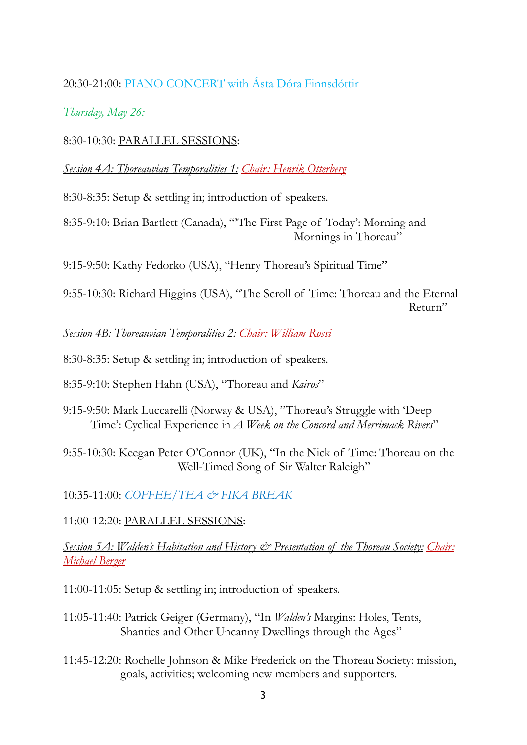# 20:30-21:00: PIANO CONCERT with Ásta Dóra Finnsdóttir

*Thursday, May 26:*

8:30-10:30: PARALLEL SESSIONS:

*Session 4A: Thoreauvian Temporalities 1: Chair: Henrik Otterberg* 

8:30-8:35: Setup & settling in; introduction of speakers.

8:35-9:10: Brian Bartlett (Canada), "'The First Page of Today': Morning and Mornings in Thoreau"

9:15-9:50: Kathy Fedorko (USA), "Henry Thoreau's Spiritual Time"

9:55-10:30: Richard Higgins (USA), "The Scroll of Time: Thoreau and the Eternal Return"

*Session 4B: Thoreauvian Temporalities 2: Chair: William Rossi* 

8:30-8:35: Setup & settling in; introduction of speakers.

8:35-9:10: Stephen Hahn (USA), "Thoreau and *Kairos*"

9:15-9:50: Mark Luccarelli (Norway & USA), "Thoreau's Struggle with 'Deep Time': Cyclical Experience in *A Week on the Concord and Merrimack Rivers*"

9:55-10:30: Keegan Peter O'Connor (UK), "In the Nick of Time: Thoreau on the Well-Timed Song of Sir Walter Raleigh"

10:35-11:00: *COFFEE/TEA & FIKA BREAK*

11:00-12:20: PARALLEL SESSIONS:

## *Session 5A: Walden's Habitation and History & Presentation of the Thoreau Society: Chair: Michael Berger*

11:00-11:05: Setup & settling in; introduction of speakers.

- 11:05-11:40: Patrick Geiger (Germany), "In *Walden's* Margins: Holes, Tents, Shanties and Other Uncanny Dwellings through the Ages"
- 11:45-12:20: Rochelle Johnson & Mike Frederick on the Thoreau Society: mission, goals, activities; welcoming new members and supporters.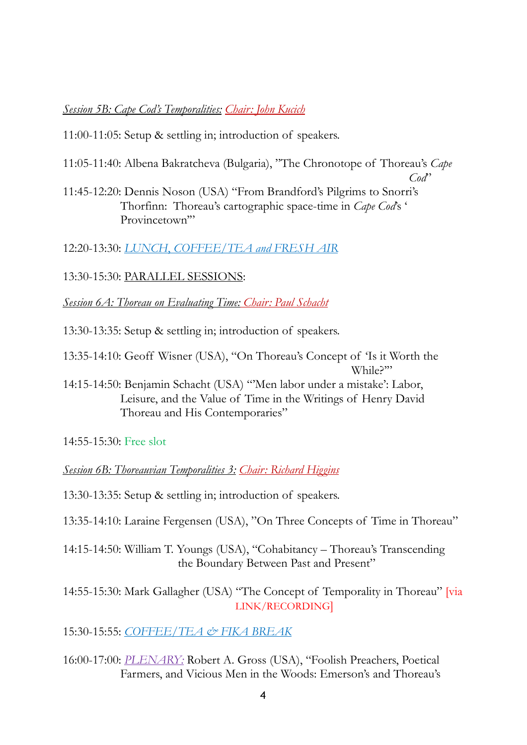## *Session 5B: Cape Cod's Temporalities: Chair: John Kucich*

11:00-11:05: Setup & settling in; introduction of speakers.

11:05-11:40: Albena Bakratcheva (Bulgaria), "The Chronotope of Thoreau's *Cape* 

*Cod*"

11:45-12:20: Dennis Noson (USA) "From Brandford's Pilgrims to Snorri's Thorfinn: Thoreau's cartographic space-time in *Cape Cod*'s ' Provincetown"

12:20-13:30: *LUNCH*, *COFFEE/TEA and FRESH AIR*

13:30-15:30: PARALLEL SESSIONS:

*Session 6A: Thoreau on Evaluating Time: Chair: Paul Schacht*

13:30-13:35: Setup & settling in; introduction of speakers.

13:35-14:10: Geoff Wisner (USA), "On Thoreau's Concept of 'Is it Worth the While?"

14:15-14:50: Benjamin Schacht (USA) "'Men labor under a mistake': Labor, Leisure, and the Value of Time in the Writings of Henry David Thoreau and His Contemporaries"

14:55-15:30: Free slot

*Session 6B: Thoreauvian Temporalities 3: Chair: Richard Higgins* 

13:30-13:35: Setup & settling in; introduction of speakers.

13:35-14:10: Laraine Fergensen (USA), "On Three Concepts of Time in Thoreau"

14:15-14:50: William T. Youngs (USA), "Cohabitancy – Thoreau's Transcending the Boundary Between Past and Present"

14:55-15:30: Mark Gallagher (USA) "The Concept of Temporality in Thoreau" [via LINK/RECORDING]

15:30-15:55: *COFFEE/TEA & FIKA BREAK*

16:00-17:00: *PLENARY:* Robert A. Gross (USA), "Foolish Preachers, Poetical Farmers, and Vicious Men in the Woods: Emerson's and Thoreau's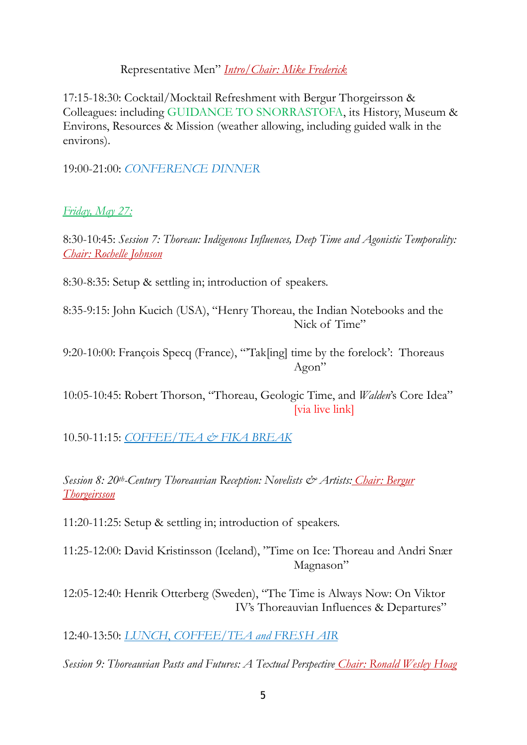### Representative Men" *Intro/Chair: Mike Frederick*

17:15-18:30: Cocktail/Mocktail Refreshment with Bergur Thorgeirsson & Colleagues: including GUIDANCE TO SNORRASTOFA, its History, Museum & Environs, Resources & Mission (weather allowing, including guided walk in the environs).

19:00-21:00: *CONFERENCE DINNER* 

*Friday, May 27:*

8:30-10:45: *Session 7: Thoreau: Indigenous Influences, Deep Time and Agonistic Temporality: Chair: Rochelle Johnson*

8:30-8:35: Setup & settling in; introduction of speakers.

8:35-9:15: John Kucich (USA), "Henry Thoreau, the Indian Notebooks and the Nick of Time"

9:20-10:00: François Specq (France), "'Tak[ing] time by the forelock': Thoreaus Agon"

10:05-10:45: Robert Thorson, "Thoreau, Geologic Time, and *Walden*'s Core Idea" [via live link]

10.50-11:15: *COFFEE/TEA & FIKA BREAK*

*Session 8: 20th-Century Thoreauvian Reception: Novelists & Artists: Chair: Bergur Thorgeirsson*

11:20-11:25: Setup & settling in; introduction of speakers.

11:25-12:00: David Kristinsson (Iceland), "Time on Ice: Thoreau and Andri Snær Magnason"

12:05-12:40: Henrik Otterberg (Sweden), "The Time is Always Now: On Viktor IV's Thoreauvian Influences & Departures"

12:40-13:50: *LUNCH*, *COFFEE/TEA and FRESH AIR*

*Session 9: Thoreauvian Pasts and Futures: A Textual Perspective Chair: Ronald Wesley Hoag*